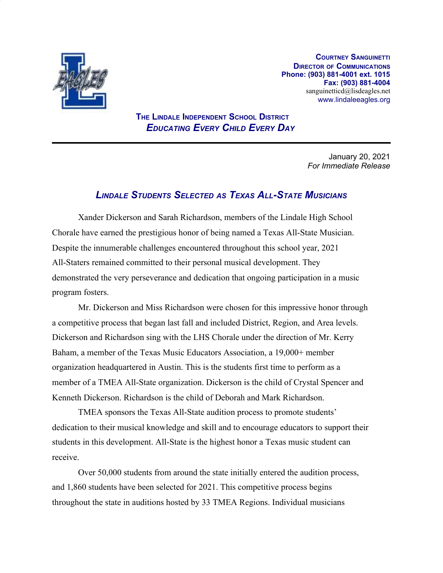

**COURTNEY SANGUINETTI DIRECTOR OF COMMUNICATIONS Phone: (903) 881-4001 ext. 1015 Fax: (903) 881-4004** sanguinetticd@lisdeagles.net www.lindaleeagles.org

## **THE LINDALE INDEPENDENT SCHOOL DISTRICT** *EDUCATING EVERY CHILD EVERY DAY*

January 20, 2021 *For Immediate Release*

## *LINDALE STUDENTS SELECTED AS TEXAS ALL-STATE MUSICIANS*

Xander Dickerson and Sarah Richardson, members of the Lindale High School Chorale have earned the prestigious honor of being named a Texas All-State Musician. Despite the innumerable challenges encountered throughout this school year, 2021 All-Staters remained committed to their personal musical development. They demonstrated the very perseverance and dedication that ongoing participation in a music program fosters.

Mr. Dickerson and Miss Richardson were chosen for this impressive honor through a competitive process that began last fall and included District, Region, and Area levels. Dickerson and Richardson sing with the LHS Chorale under the direction of Mr. Kerry Baham, a member of the Texas Music Educators Association, a 19,000+ member organization headquartered in Austin. This is the students first time to perform as a member of a TMEA All-State organization. Dickerson is the child of Crystal Spencer and Kenneth Dickerson. Richardson is the child of Deborah and Mark Richardson.

TMEA sponsors the Texas All-State audition process to promote students' dedication to their musical knowledge and skill and to encourage educators to support their students in this development. All-State is the highest honor a Texas music student can receive.

Over 50,000 students from around the state initially entered the audition process, and 1,860 students have been selected for 2021. This competitive process begins throughout the state in auditions hosted by 33 TMEA Regions. Individual musicians